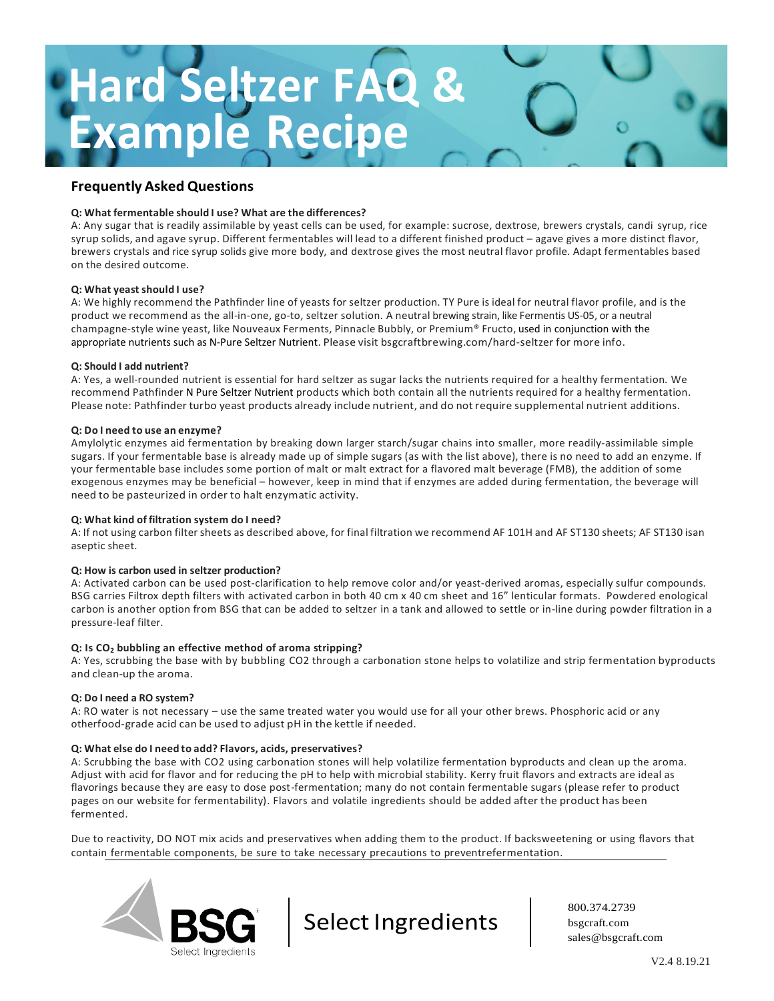# **Hard Seltzer FAQ & Example Recipe**

# **Frequently Asked Questions**

#### **Q: What fermentable should I use? What are the differences?**

A: Any sugar that is readily assimilable by yeast cells can be used, for example: sucrose, dextrose, brewers crystals, candi syrup, rice syrup solids, and agave syrup. Different fermentables will lead to a different finished product – agave gives a more distinct flavor, brewers crystals and rice syrup solids give more body, and dextrose gives the most neutral flavor profile. Adapt fermentables based on the desired outcome.

#### **Q: What yeast should I use?**

A: We highly recommend the Pathfinder line of yeasts for seltzer production. TY Pure is ideal for neutral flavor profile, and is the product we recommend as the all-in-one, go-to, seltzer solution. A neutral brewing strain, like Fermentis US-05, or a neutral champagne-style wine yeast, like Nouveaux Ferments, Pinnacle Bubbly, or Premium® Fructo, used in conjunction with the appropriate nutrients such as N-Pure Seltzer Nutrient. Please visit bsgcraftbrewing.com/hard-seltzer for more info.

#### **Q: Should I add nutrient?**

A: Yes, a well-rounded nutrient is essential for hard seltzer as sugar lacks the nutrients required for a healthy fermentation. We recommend Pathfinder N Pure Seltzer Nutrient products which both contain all the nutrients required for a healthy fermentation. Please note: Pathfinder turbo yeast products already include nutrient, and do notrequire supplemental nutrient additions.

#### **Q: Do I need to use an enzyme?**

Amylolytic enzymes aid fermentation by breaking down larger starch/sugar chains into smaller, more readily-assimilable simple sugars. If your fermentable base is already made up of simple sugars (as with the list above), there is no need to add an enzyme. If your fermentable base includes some portion of malt or malt extract for a flavored malt beverage (FMB), the addition of some exogenous enzymes may be beneficial – however, keep in mind that if enzymes are added during fermentation, the beverage will need to be pasteurized in order to halt enzymatic activity.

#### **Q: What kind of filtration system do I need?**

A: If not using carbon filter sheets as described above, for final filtration we recommend AF 101H and AF ST130 sheets; AF ST130 isan aseptic sheet.

#### **Q: How is carbon used in seltzer production?**

A: Activated carbon can be used post-clarification to help remove color and/or yeast-derived aromas, especially sulfur compounds. BSG carries Filtrox depth filters with activated carbon in both 40 cm x 40 cm sheet and 16" lenticular formats. Powdered enological carbon is another option from BSG that can be added to seltzer in a tank and allowed to settle or in-line during powder filtration in a pressure-leaf filter.

#### **Q: Is CO<sup>2</sup> bubbling an effective method of aroma stripping?**

A: Yes, scrubbing the base with by bubbling CO2 through a carbonation stone helps to volatilize and strip fermentation byproducts and clean-up the aroma.

#### **Q: Do I need a RO system?**

A: RO water is not necessary – use the same treated water you would use for all your other brews. Phosphoric acid or any otherfood-grade acid can be used to adjust pH in the kettle if needed.

#### **Q: What else do I need to add? Flavors, acids, preservatives?**

A: Scrubbing the base with CO2 using carbonation stones will help volatilize fermentation byproducts and clean up the aroma. Adjust with acid for flavor and for reducing the pH to help with microbial stability. Kerry fruit flavors and extracts are ideal as flavorings because they are easy to dose post-fermentation; many do not contain fermentable sugars (please refer to product pages on our website for fermentability). Flavors and volatile ingredients should be added after the product has been fermented.

Due to reactivity, DO NOT mix acids and preservatives when adding them to the product. If backsweetening or using flavors that contain fermentable components, be sure to take necessary precautions to preventrefermentation.



Select Ingredients

800.374.2739 bsgcraft.com [sales@bsgcraft.com](mailto:sales@bsgcraft.com)